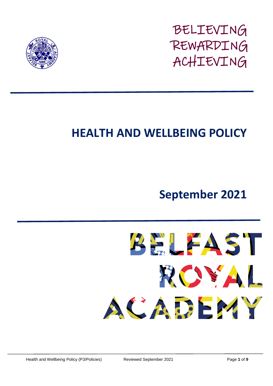

BELIEVING REWARDING ACHIEVING

# **HEALTH AND WELLBEING POLICY**

## **September 2021**

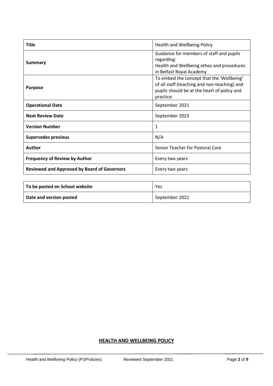| <b>Title</b>                                       | Health and Wellbeing Policy                                                                                                                           |
|----------------------------------------------------|-------------------------------------------------------------------------------------------------------------------------------------------------------|
| <b>Summary</b>                                     | Guidance for members of staff and pupils<br>regarding:<br>Health and Wellbeing ethos and procedures<br>in Belfast Royal Academy                       |
| <b>Purpose</b>                                     | To embed the concept that the 'Wellbeing'<br>of all staff (teaching and non-teaching) and<br>pupils should be at the heart of policy and<br>practice. |
| <b>Operational Date</b>                            | September 2021                                                                                                                                        |
| <b>Next Review Date</b>                            | September 2023                                                                                                                                        |
| <b>Version Number</b>                              | 1                                                                                                                                                     |
| <b>Supersedes previous</b>                         | N/A                                                                                                                                                   |
| Author                                             | Senior Teacher for Pastoral Care                                                                                                                      |
| <b>Frequency of Review by Author</b>               | Every two years                                                                                                                                       |
| <b>Reviewed and Approved by Board of Governors</b> | Every two years                                                                                                                                       |

| To be posted on School website | Yes            |
|--------------------------------|----------------|
| Date and version posted        | September 2021 |

## **HEALTH AND WELLBEING POLICY**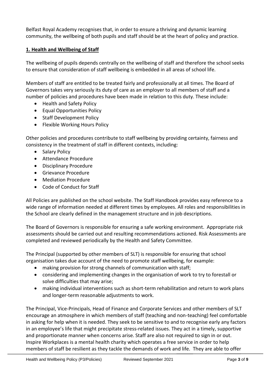Belfast Royal Academy recognises that, in order to ensure a thriving and dynamic learning community, the wellbeing of both pupils and staff should be at the heart of policy and practice.

## **1. Health and Wellbeing of Staff**

The wellbeing of pupils depends centrally on the wellbeing of staff and therefore the school seeks to ensure that consideration of staff wellbeing is embedded in all areas of school life.

Members of staff are entitled to be treated fairly and professionally at all times. The Board of Governors takes very seriously its duty of care as an employer to all members of staff and a number of policies and procedures have been made in relation to this duty. These include:

- Health and Safety Policy
- Equal Opportunities Policy
- Staff Development Policy
- Flexible Working Hours Policy

Other policies and procedures contribute to staff wellbeing by providing certainty, fairness and consistency in the treatment of staff in different contexts, including:

- Salary Policy
- Attendance Procedure
- Disciplinary Procedure
- Grievance Procedure
- Mediation Procedure
- Code of Conduct for Staff

All Policies are published on the school website. The Staff Handbook provides easy reference to a wide range of information needed at different times by employees. All roles and responsibilities in the School are clearly defined in the management structure and in job descriptions.

The Board of Governors is responsible for ensuring a safe working environment. Appropriate risk assessments should be carried out and resulting recommendations actioned. Risk Assessments are completed and reviewed periodically by the Health and Safety Committee.

The Principal (supported by other members of SLT) is responsible for ensuring that school organisation takes due account of the need to promote staff wellbeing, for example:

- making provision for strong channels of communication with staff;
- considering and implementing changes in the organisation of work to try to forestall or solve difficulties that may arise;
- making individual interventions such as short-term rehabilitation and return to work plans and longer-term reasonable adjustments to work.

The Principal, Vice-Principals, Head of Finance and Corporate Services and other members of SLT encourage an atmosphere in which members of staff (teaching and non-teaching) feel comfortable in asking for help when it is needed. They seek to be sensitive to and to recognise early any factors in an employee's life that might precipitate stress-related issues. They act in a timely, supportive and proportionate manner when concerns arise. Staff are also not required to sign in or out. Inspire Workplaces is a mental health charity which operates a free service in order to help members of staff be resilient as they tackle the demands of work and life. They are able to offer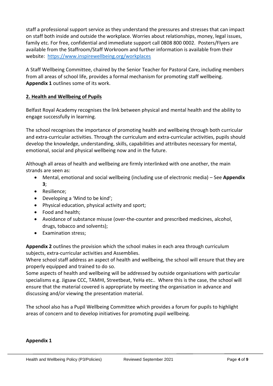staff a professional support service as they understand the pressures and stresses that can impact on staff both inside and outside the workplace. Worries about relationships, money, legal issues, family etc. For free, confidential and immediate support call 0808 800 0002. Posters/Flyers are available from the Staffroom/Staff Workroom and further information is available from their website: <https://www.inspirewellbeing.org/workplaces>

A Staff Wellbeing Committee, chaired by the Senior Teacher for Pastoral Care, including members from all areas of school life, provides a formal mechanism for promoting staff wellbeing. **Appendix 1** outlines some of its work.

## **2. Health and Wellbeing of Pupils**

Belfast Royal Academy recognises the link between physical and mental health and the ability to engage successfully in learning.

The school recognises the importance of promoting health and wellbeing through both curricular and extra-curricular activities. Through the curriculum and extra-curricular activities, pupils should develop the knowledge, understanding, skills, capabilities and attributes necessary for mental, emotional, social and physical wellbeing now and in the future.

Although all areas of health and wellbeing are firmly interlinked with one another, the main strands are seen as:

- Mental, emotional and social wellbeing (including use of electronic media) See **Appendix 3**;
- Resilience;
- Developing a 'Mind to be kind';
- Physical education, physical activity and sport;
- Food and health;
- Avoidance of substance misuse (over-the-counter and prescribed medicines, alcohol, drugs, tobacco and solvents);
- Examination stress;

**Appendix 2** outlines the provision which the school makes in each area through curriculum subjects, extra-curricular activities and Assemblies.

Where school staff address an aspect of health and wellbeing, the school will ensure that they are properly equipped and trained to do so.

Some aspects of health and wellbeing will be addressed by outside organisations with particular specialisms e.g. Jigsaw CCC, TAMHI, Streetbeat, YeHa etc.. Where this is the case, the school will ensure that the material covered is appropriate by meeting the organisation in advance and discussing and/or viewing the presentation material.

The school also has a Pupil Wellbeing Committee which provides a forum for pupils to highlight areas of concern and to develop initiatives for promoting pupil wellbeing.

#### **Appendix 1**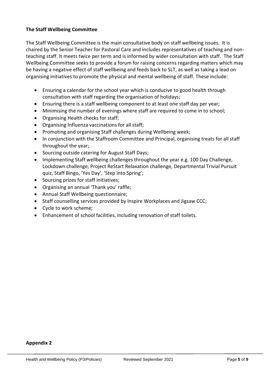#### **The Staff Wellbeing Committee**

The Staff Wellbeing Committee is the main consultative body on staff wellbeing issues. It is chaired by the Senior Teacher for Pastoral Care and includes representatives of teaching and nonteaching staff. It meets twice per term and is informed by wider consultation with staff. The Staff Wellbeing Committee seeks to provide a forum for raising concerns regarding matters which may be having a negative effect of staff wellbeing and feeds back to SLT, as well as taking a lead on organising initiatives to promote the physical and mental wellbeing of staff. These include:

- Ensuring a calendar for the school year which is conducive to good health through consultation with staff regarding the organisation of holidays;
- Ensuring there is a staff wellbeing component to at least one staff day per year;
- Minimising the number of evenings where staff are required to come in to school;
- Organising Health checks for staff;
- Organising Influenza vaccinations for all staff;
- Promoting and organising Staff challenges during Wellbeing week;
- In conjunction with the Staffroom Committee and Principal, organising treats for all staff throughout the year;
- Sourcing outside catering for August Staff Days;
- Implementing Staff wellbeing challenges throughout the year e.g. 100 Day Challenge, Lockdown challenge, Project ReStart Relaxation challenge, Departmental Trivial Pursuit quiz, Staff Bingo, 'Yes Day', 'Step into Spring';
- Sourcing prizes for staff initiatives;
- Organising an annual 'Thank you' raffle;
- Annual Staff Wellbeing questionnaire;
- Staff counselling services provided by Inspire Workplaces and Jigsaw CCC;
- Cycle to work scheme;
- Enhancement of school facilities, including renovation of staff toilets.

#### **Appendix 2**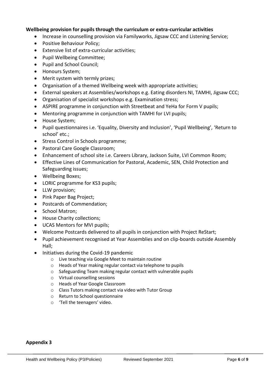#### **Wellbeing provision for pupils through the curriculum or extra-curricular activities**

- Increase in counselling provision via Familyworks, Jigsaw CCC and Listening Service;
- Positive Behaviour Policy;
- Extensive list of extra-curricular activities;
- Pupil Wellbeing Committee;
- Pupil and School Council;
- Honours System;
- Merit system with termly prizes;
- Organisation of a themed Wellbeing week with appropriate activities;
- External speakers at Assemblies/workshops e.g. Eating disorders NI, TAMHI, Jigsaw CCC;
- Organisation of specialist workshops e.g. Examination stress;
- ASPIRE programme in conjunction with Streetbeat and YeHa for Form V pupils;
- Mentoring programme in conjunction with TAMHI for LVI pupils;
- House System;
- Pupil questionnaires i.e. 'Equality, Diversity and Inclusion', 'Pupil Wellbeing', 'Return to school' etc.;
- Stress Control in Schools programme;
- Pastoral Care Google Classroom;
- Enhancement of school site i.e. Careers Library, Jackson Suite, LVI Common Room;
- Effective Lines of Communication for Pastoral, Academic, SEN, Child Protection and Safeguarding issues;
- Wellbeing Boxes;
- LORIC programme for KS3 pupils;
- LLW provision;
- Pink Paper Bag Project;
- Postcards of Commendation;
- School Matron;
- House Charity collections;
- UCAS Mentors for MVI pupils;
- Welcome Postcards delivered to all pupils in conjunction with Project ReStart;
- Pupil achievement recognised at Year Assemblies and on clip-boards outside Assembly Hall;
- Initiatives during the Covid-19 pandemic
	- o Live teaching via Google Meet to maintain routine
	- o Heads of Year making regular contact via telephone to pupils
	- o Safeguarding Team making regular contact with vulnerable pupils
	- o Virtual counselling sessions
	- o Heads of Year Google Classroom
	- o Class Tutors making contact via video with Tutor Group
	- o Return to School questionnaire
	- o 'Tell the teenagers' video.

#### **Appendix 3**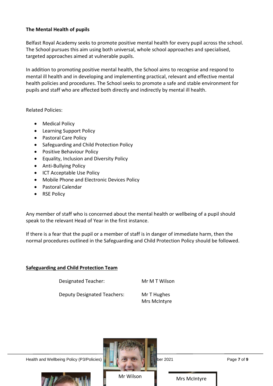## **The Mental Health of pupils**

Belfast Royal Academy seeks to promote positive mental health for every pupil across the school. The School pursues this aim using both universal, whole school approaches and specialised, targeted approaches aimed at vulnerable pupils.

In addition to promoting positive mental health, the School aims to recognise and respond to mental ill health and in developing and implementing practical, relevant and effective mental health policies and procedures. The School seeks to promote a safe and stable environment for pupils and staff who are affected both directly and indirectly by mental ill health.

Related Policies:

- Medical Policy
- Learning Support Policy
- Pastoral Care Policy
- Safeguarding and Child Protection Policy
- Positive Behaviour Policy
- Equality, Inclusion and Diversity Policy
- Anti-Bullying Policy
- ICT Acceptable Use Policy
- Mobile Phone and Electronic Devices Policy
- Pastoral Calendar
- RSE Policy

Any member of staff who is concerned about the mental health or wellbeing of a pupil should speak to the relevant Head of Year in the first instance.

If there is a fear that the pupil or a member of staff is in danger of immediate harm, then the normal procedures outlined in the Safeguarding and Child Protection Policy should be followed.

#### **Safeguarding and Child Protection Team**

Designated Teacher: Mr M T Wilson

Deputy Designated Teachers: Mr T Hughes

Mrs McIntyre

Health and Wellbeing Policy (P3/Policies) **Reviewed September 2021** Page **7** of **9** 





Mr Wilson **Mrs McIntyre**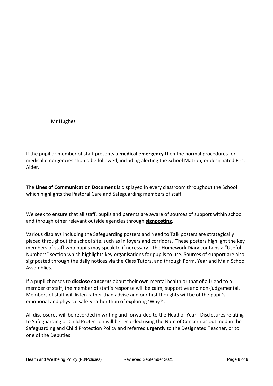Mr Hughes

If the pupil or member of staff presents a **medical emergency** then the normal procedures for medical emergencies should be followed, including alerting the School Matron, or designated First Aider.

The **Lines of Communication Document** is displayed in every classroom throughout the School which highlights the Pastoral Care and Safeguarding members of staff.

We seek to ensure that all staff, pupils and parents are aware of sources of support within school and through other relevant outside agencies through **signposting**.

Various displays including the Safeguarding posters and Need to Talk posters are strategically placed throughout the school site, such as in foyers and corridors. These posters highlight the key members of staff who pupils may speak to if necessary. The Homework Diary contains a "Useful Numbers" section which highlights key organisations for pupils to use. Sources of support are also signposted through the daily notices via the Class Tutors, and through Form, Year and Main School Assemblies.

If a pupil chooses to **disclose concerns** about their own mental health or that of a friend to a member of staff, the member of staff's response will be calm, supportive and non-judgemental. Members of staff will listen rather than advise and our first thoughts will be of the pupil's emotional and physical safety rather than of exploring 'Why?'.

All disclosures will be recorded in writing and forwarded to the Head of Year. Disclosures relating to Safeguarding or Child Protection will be recorded using the Note of Concern as outlined in the Safeguarding and Child Protection Policy and referred urgently to the Designated Teacher, or to one of the Deputies.